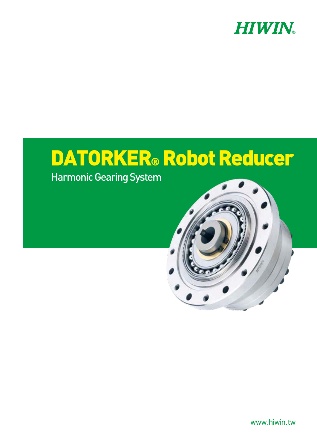

# DATORKER® Robot Reducer

Harmonic Gearing System

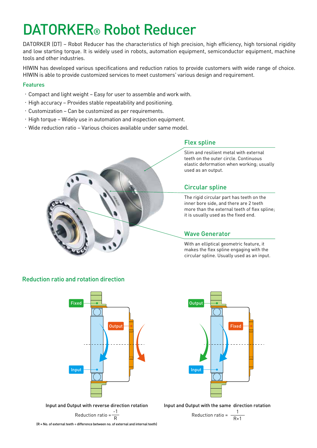## DATORKER® Robot Reducer

DATORKER (DT) – Robot Reducer has the characteristics of high precision, high efficiency, high torsional rigidity and low starting torque. It is widely used in robots, automation equipment, semiconductor equipment, machine tools and other industries.

HIWIN has developed various specifications and reduction ratios to provide customers with wide range of choice. HIWIN is able to provide customized services to meet customers' various design and requirement.

#### Features

- .Compact and light weight Easy for user to assemble and work with.
- .High accuracy Provides stable repeatability and positioning.
- .Customization Can be customized as per requirements.
- .High torque Widely use in automation and inspection equipment.
- .Wide reduction ratio Various choices available under same model.



#### Flex spline

Slim and resilient metal with external teeth on the outer circle. Continuous elastic deformation when working; usually used as an output.

#### Circular spline

The rigid circular part has teeth on the inner bore side, and there are 2 teeth more than the external teeth of flex spline; it is usually used as the fixed end.

#### Wave Generator

With an elliptical geometric feature, it makes the flex spline engaging with the circular spline. Usually used as an input.

#### Reduction ratio and rotation direction



Input and Output with reverse direction rotation -1

Reduction ratio = 
$$
\frac{-1}{R}
$$

 $(R = No.$  of external teeth  $\div$  difference between no. of external and internal teeth)



Input and Output with the same direction rotation

Reduction ratio = 
$$
\frac{1}{R+1}
$$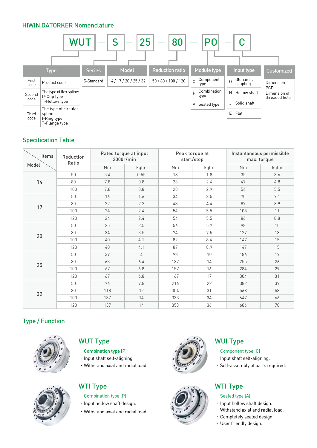#### HIWIN DATORKER Nomenclature



#### Specification Table

| Items | <b>Reduction</b><br>Ratio | Rated torque at input<br>2000r/min |      |     | Peak torque at<br>start/stop | Instantaneous permissible<br>max. torque |      |
|-------|---------------------------|------------------------------------|------|-----|------------------------------|------------------------------------------|------|
| Model |                           | <b>Nm</b>                          | kgfm | Nm  | kgfm                         | Nm                                       | kgfm |
|       | 50                        | 5.4                                | 0.55 | 18  | 1.8                          | 35                                       | 3.6  |
| 14    | 80                        | 7.8                                | 0.8  | 23  | 2.4                          | 47                                       | 4.8  |
|       | 100                       | 7.8                                | 0.8  | 28  | 2.9                          | 54                                       | 5.5  |
|       | 50                        | 16                                 | 1.6  | 34  | 3.5                          | 70                                       | 7.1  |
|       | 80                        | 22                                 | 2.2  | 43  | 4.4                          | 87                                       | 8.9  |
| 17    | 100                       | 24                                 | 2.4  | 54  | 5.5                          | 108                                      | 11   |
|       | 120                       | 24                                 | 2.4  | 54  | 5.5                          | 86                                       | 8.8  |
|       | 50                        | 25                                 | 2.5  | 56  | 5.7                          | 98                                       | 10   |
|       | 80                        | 34                                 | 3.5  | 74  | 7.5                          | 127                                      | 13   |
| 20    | 100                       | 40                                 | 4.1  | 82  | 8.4                          | 147                                      | 15   |
|       | 120                       | 40                                 | 4.1  | 87  | 8.9                          | 147                                      | 15   |
|       | 50                        | 39                                 | 4    | 98  | 10                           | 186                                      | 19   |
|       | 80                        | 63                                 | 6.4  | 137 | 14                           | 255                                      | 26   |
| 25    | 100                       | 67                                 | 6.8  | 157 | 16                           | 284                                      | 29   |
|       | 120                       | 67                                 | 6.8  | 167 | 17                           | 304                                      | 31   |
| 32    | 50                        | 76                                 | 7.8  | 216 | 22                           | 382                                      | 39   |
|       | 80                        | 118                                | 12   | 304 | 31                           | 568                                      | 58   |
|       | 100                       | 137                                | 14   | 333 | 34                           | 647                                      | 66   |
|       | 120                       | 137                                | 14   | 353 | 36                           | 686                                      | 70   |

#### Type / Function



#### WUT Type

- .Combination type (P)
- $\cdot$  Input shaft self-aligning.
- .Withstand axial and radial load.

#### WTI Type

- .Combination type (P)
- $\cdot$  Input hollow shaft design.
- .Withstand axial and radial load.





#### WUI Type

- .Component type (C)
- $\cdot$  Input shaft self-aligning.
- .Self-assembly of parts required.

### WTI Type

- . Sealed type (A)
- . Input hollow shaft design.
- $\cdot$  Withstand axial and radial load.
- .Completely sealed design.
- .User friendly design.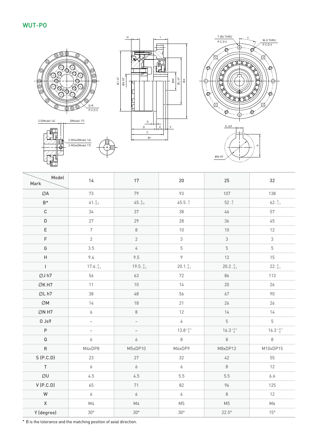#### WUT-PO







| Model<br>Mark  | 14                | 17                       | 20                 | 25                 | 32                 |
|----------------|-------------------|--------------------------|--------------------|--------------------|--------------------|
| ØA             | 73                | 79                       | 93                 | 107                | 138                |
| $B^*$          | 41.09             | 45.09                    | $45.5_{-1}^{0}$    | $52 - \frac{0}{1}$ | 62.011             |
| $\mathbb C$    | 34                | 37                       | 38                 | 46                 | 57                 |
| $\mathsf D$    | 27                | 29                       | 28                 | 36                 | 45                 |
| $\mathsf E$    | $\overline{7}$    | $\,8\,$                  | 10                 | $10\,$             | 12                 |
| $\mathsf F$    | $\overline{2}$    | $\overline{2}$           | $\mathfrak 3$      | $\mathfrak{Z}$     | $\mathfrak{Z}$     |
| G              | 3.5               | $\sqrt{4}$               | 5                  | $\overline{5}$     | $\overline{5}$     |
| $\sf H$        | 9.4               | 9.5                      | $\mathcal{P}$      | 12                 | 15                 |
| $\overline{1}$ | $17.6^{0}_{-0.1}$ | $19.5_{-0.1}^{0}$        | $20.1^{0}_{-0.1}$  | $20.2^{0}_{-0.1}$  | $22^{0}_{-0.1}$    |
| ØJ h7          | 56                | 63                       | 72                 | 86                 | 113                |
| ØK H7          | 11                | $10$                     | 14                 | $20\,$             | 26                 |
| ØL h7          | 38                | 48                       | 56                 | 67                 | 90                 |
| ØM             | 14                | 18                       | 21                 | 26                 | 26                 |
| ØN H7          | 6                 | $\,8\,$                  | 12                 | 14                 | 14                 |
| $0$ Js $9$     | $\equiv$          | $\overline{\phantom{0}}$ | $\overline{4}$     | 5                  | 5                  |
| $\mathsf P$    | $\equiv$          | $\overline{\phantom{0}}$ | $13.8^{+0.1}_{-0}$ | $16.3^{+0.1}_{-0}$ | $16.3^{+0.1}_{-0}$ |
| ${\mathsf Q}$  | $\boldsymbol{6}$  | 6                        | $\,8\,$            | $8\,$              | $\,8\,$            |
| ${\sf R}$      | M4xDP8            | M5xDP10                  | M6xDP9             | M8xDP12            | M10xDP15           |
| S(P.C.D)       | 23                | 27                       | 32                 | 42                 | 55                 |
| $\mathsf T$    | $\boldsymbol{6}$  | $\boldsymbol{6}$         | $\boldsymbol{6}$   | $8\,$              | 12                 |
| ØU             | 4.5               | 4.5                      | 5.5                | 5.5                | 6.6                |
| V(P.C.D)       | 65                | 71                       | 82                 | 96                 | 125                |
| W              | $\boldsymbol{6}$  | $\overline{6}$           | 6                  | $\,8\,$            | 12                 |
| $\mathsf X$    | M4                | M4                       | M <sub>5</sub>     | M <sub>5</sub>     | M6                 |
| Y (degree)     | $30^{\circ}$      | $30^{\circ}$             | $30^{\circ}$       | $22.5^\circ$       | $15^{\circ}$       |

\* B is the tolerance and the matching position of axial direction.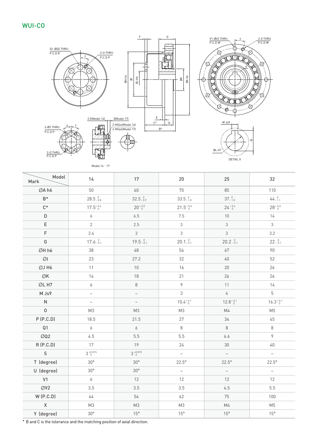#### WUI-CO



DETAIL X

Model 14、17

| Model<br>Mark         | 14                           | 17                           | 20                        | 25                       | 32                       |
|-----------------------|------------------------------|------------------------------|---------------------------|--------------------------|--------------------------|
| ØA h6                 | 50                           | 60                           | 70                        | 85                       | 110                      |
| $B^*$                 | $28.5^{0}_{-0.8}$            | $32.5_{-0.9}^{0}$            | $33.5_{-1.0}^{0}$         | 37.0                     | 44.0                     |
| $C^*$                 | $17.5^{+0.4}_{-0}$           | $20^{+0.5}_{-0}$             | $21.5^{+0.6}_{-0}$        | $24^{+0.6}_{-0}$         | $28^{+0.6}_{-0}$         |
| $\mathsf D$           | 6                            | 6.5                          | 7.5                       | $10\,$                   | 14                       |
| $\mathsf E$           | $\overline{2}$               | 2.5                          | $\mathfrak{Z}$            | $\mathfrak{Z}$           | $\mathfrak{Z}$           |
| F                     | 2.4                          | $\mathfrak{Z}$               | 3                         | $\mathfrak{S}$           | 3.2                      |
| G                     | $17.6 - \substack{0.1}{0.1}$ | $19.5 - \substack{0.1}{0.1}$ | $20.1\substack{0\\ -0.1}$ | $20.2_{-0.1}^{0}$        | $22 - 0.1$               |
| ØH h6                 | 38                           | 48                           | 54                        | 67                       | 90                       |
| $\emptyset\mathsf{l}$ | 23                           | 27.2                         | 32                        | $40\,$                   | 52                       |
| ØJ H6                 | 11                           | 10                           | 16                        | $20\,$                   | 26                       |
| ØK                    | 14                           | 18                           | 21                        | 26                       | 26                       |
| ØL H7                 | 6                            | $\,8\,$                      | $\mathcal{P}$             | 11                       | 14                       |
| M Js9                 | $\overline{\phantom{0}}$     | $\overline{\phantom{0}}$     | 3                         | $\overline{4}$           | $\overline{5}$           |
| $\overline{N}$        | $\overline{\phantom{0}}$     | $\qquad \qquad -$            | $10.4^{+0.1}_{-0}$        | $12.8^{+0.1}_{-0}$       | $16.3^{+0.1}_{-0}$       |
| $\mathsf{O}$          | M3                           | M3                           | M3                        | M4                       | M <sub>5</sub>           |
| P(P.C.D)              | 18.5                         | 21.5                         | 27                        | 34                       | 45                       |
| Q <sub>1</sub>        | 6                            | $\boldsymbol{6}$             | $\,8\,$                   | $\,8\,$                  | $\,8\,$                  |
| ØQ <sub>2</sub>       | 4.5                          | 5.5                          | 5.5                       | 6.6                      | $\mathcal{P}$            |
| R(P.C.D)              | 17                           | 19                           | 24                        | 30                       | $40\,$                   |
| $\mathsf{S}$          | $3^{+0.015}_{0}$             | $3^{+0.015}_{0}$             | $\overline{\phantom{0}}$  | $\overline{\phantom{a}}$ | $\overline{\phantom{m}}$ |
| T (degree)            | $30^{\circ}$                 | $30^{\circ}$                 | $22.5^\circ$              | $22.5^\circ$             | $22.5^\circ$             |
| U (degree)            | $30^{\circ}$                 | $30^{\circ}$                 | $\overline{\phantom{0}}$  | $\qquad \qquad -$        | $\overline{\phantom{m}}$ |
| V <sub>1</sub>        | $\boldsymbol{6}$             | 12                           | 12                        | 12                       | 12                       |
| ØV <sub>2</sub>       | 3.5                          | 3.5                          | 3.5                       | 4.5                      | 5.5                      |
| W(P.C.D)              | $44$                         | 54                           | 62                        | 75                       | 100                      |
| $\mathsf X$           | M <sub>3</sub>               | M3                           | M3                        | M4                       | M <sub>5</sub>           |
| Y (degree)            | $30^{\circ}$                 | $15^{\circ}$                 | $15^{\circ}$              | $15^{\circ}$             | $15^{\circ}$             |

\* B and C is the tolerance and the matching position of axial direction.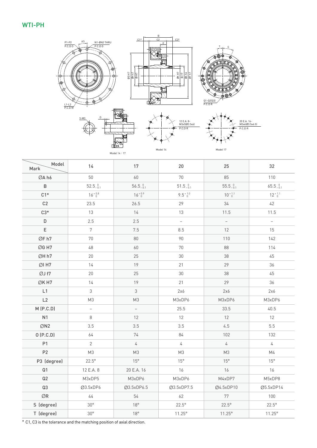#### WTI-PH



Model 14、17

Model 14

| × |          |  |
|---|----------|--|
|   | Model 17 |  |

| Model<br>Mark   | 14                | 17                | 20                | 25                       | 32                  |
|-----------------|-------------------|-------------------|-------------------|--------------------------|---------------------|
| ØA h6           | 50                | 60                | 70                | 85                       | 110                 |
| $\sf B$         | $52.5_{-0.1}^{0}$ | $56.5_{-0.1}^{0}$ | $51.5_{-0.1}^{0}$ | $55.5_{-0.1}^{0}$        | $65.5_{-0.1}^{0}$   |
| $C1*$           | $16^{+0.8}_{-0}$  | $16^{+0.9}_{-0}$  | $9.5^{+1.0}_{-0}$ | $10^{+1.1}_{-0}$         | $12^{+1.1}_{-0}$    |
| C <sub>2</sub>  | 23.5              | 26.5              | 29                | $34\,$                   | 42                  |
| $C3*$           | 13                | 14                | 13                | 11.5                     | 11.5                |
| D               | 2.5               | 2.5               | $\equiv$          | $\overline{\phantom{a}}$ | $\bar{\phantom{a}}$ |
| $\mathsf E$     | $\overline{7}$    | 7.5               | 8.5               | 12                       | 15                  |
| ØF h7           | 70                | 80                | 90                | 110                      | 142                 |
| ØG H7           | 48                | 60                | $70\,$            | 88                       | 114                 |
| ØH h7           | 20                | 25                | 30                | 38                       | 45                  |
| $ØI$ H7         | 14                | 19                | 21                | 29                       | 36                  |
| ØJ f7           | 20                | 25                | 30                | 38                       | 45                  |
| ØK H7           | 14                | 19                | 21                | 29                       | 36                  |
| L1              | $\mathfrak{Z}$    | $\mathfrak{Z}$    | 2x6               | 2x6                      | 2x6                 |
| L2              | M <sub>3</sub>    | M3                | M3xDP6            | M3xDP6                   | M3xDP6              |
| M(P.C.D)        | L,                | $\equiv$          | 25.5              | 33.5                     | 40.5                |
| N <sub>1</sub>  | 8                 | 12                | 12                | 12                       | 12                  |
| ØN <sub>2</sub> | 3.5               | 3.5               | 3.5               | 4.5                      | 5.5                 |
| O(P.C.D)        | 64                | 74                | 84                | 102                      | 132                 |
| P1              | $\overline{2}$    | $\sqrt{4}$        | $\sqrt{4}$        | $\sqrt{4}$               | 4                   |
| P2              | M3                | M3                | M3                | M3                       | M4                  |
| P3 (degree)     | $22.5^\circ$      | $15^{\circ}$      | $15^{\circ}$      | $15^{\circ}$             | $15^{\circ}$        |
| Q <sub>1</sub>  | 12 E.A. 8         | 20 E.A. 16        | 16                | 16                       | 16                  |
| Q2              | M3xDP5            | M3xDP6            | M3xDP6            | M4xDP7                   | M5xDP8              |
| Q3              | Ø3.5xDP6          | Ø3.5xDP6.5        | Ø3.5xDP7.5        | Ø4.5xDP10                | Ø5.5xDP14           |
| $\oslash$ R     | $44$              | 54                | 62                | 77                       | 100                 |
| S (degree)      | $30^{\circ}$      | 18°               | $22.5^\circ$      | $22.5^\circ$             | $22.5^\circ$        |
| T (degree)      | $30^{\circ}$      | $18^{\circ}$      | $11.25^{\circ}$   | $11.25^{\circ}$          | $11.25^{\circ}$     |

\* C1, C3 is the tolerance and the matching position of axial direction.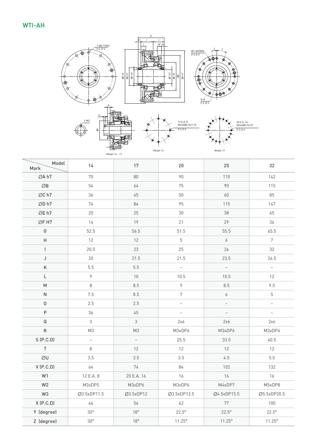

| Model<br>Mark       | 14             | 17             | $20\,$                   | 25               | 32                                |
|---------------------|----------------|----------------|--------------------------|------------------|-----------------------------------|
| ØA h7               | 70             | 80             | 90                       | 110              | 142                               |
| $\oslash$ B         | 54             | 64             | 75                       | 90               | 115                               |
| ØC h7               | 36             | 45             | $50\,$                   | 60               | 85                                |
| ØD h7               | 74             | 84             | 95                       | 115              | 147                               |
| ØE h7               | 20             | 25             | $30\,$                   | 38               | 45                                |
| ØF H7               | 14             | 19             | 21                       | 29               | 36                                |
| G                   | 52.5           | 56.5           | 51.5                     | 55.5             | 65.5                              |
| Н                   | 12             | 12             | $\overline{5}$           | $\boldsymbol{6}$ | $\overline{7}$                    |
| $\mathbf{I}$        | 20.5           | 23             | 25                       | 26               | 32                                |
| J                   | 20             | 21.5           | 21.5                     | 23.5             | 26.5                              |
| Κ                   | 5.5            | 5.5            | $\bar{ }$                | $\equiv$         | $\bar{ }$                         |
| L                   | 9              | $10$           | 10.5                     | 10.5             | 12                                |
| ${\sf M}$           | 8              | 8.5            | $\overline{9}$           | 8.5              | 9.5                               |
| ${\sf N}$           | 7.5            | 8.5            | $7\phantom{.}$           | $\boldsymbol{6}$ | $\overline{5}$                    |
| $\mathsf{O}\xspace$ | 2.5            | 2.5            | $\qquad \qquad -$        |                  | $\hspace{0.1in} - \hspace{0.1in}$ |
| $\mathsf P$         | 36             | 45             | $\overline{\phantom{0}}$ |                  | $\overline{\phantom{a}}$          |
| $\mathsf Q$         | $\mathfrak{Z}$ | $\mathfrak{Z}$ | 2x6                      | 2x6              | 2x6                               |
| ${\sf R}$           | M <sub>3</sub> | M3             | M3xDP6                   | M3xDP6           | M3xDP6                            |
| S(P.C.D)            | $\frac{1}{2}$  | $\bar{a}$      | 25.5                     | 33.5             | 40.5                              |
| $\mathsf T$         | 8              | 12             | 12                       | 12               | 12                                |
| ØU                  | 3.5            | 3.5            | 3.5                      | 4.5              | 5.5                               |
| V(P.C.D)            | 64             | 74             | $84\,$                   | 102              | 132                               |
| W1                  | 12 E.A. 8      | 20 E.A. 16     | 16                       | 16               | 16                                |
| W <sub>2</sub>      | M3xDP5         | M3xDP6         | M3xDP6                   | M4xDP7           | M5xDP8                            |
| W <sub>3</sub>      | Ø3.5xDP11.5    | Ø3.5xDP12      | Ø3.5xDP13.5              | Ø4.5xDP15.5      | Ø5.5xDP20.5                       |
| X(P.C.D)            | $44$           | 54             | 62                       | $77\,$           | 100                               |
| Y (degree)          | $30^{\circ}$   | $18^{\circ}$   | $22.5^\circ$             | $22.5^\circ$     | $22.5^\circ$                      |
| Z (degree)          | $30^{\circ}$   | $18^{\circ}$   | $11.25^{\circ}$          | $11.25^{\circ}$  | $11.25^{\circ}$                   |